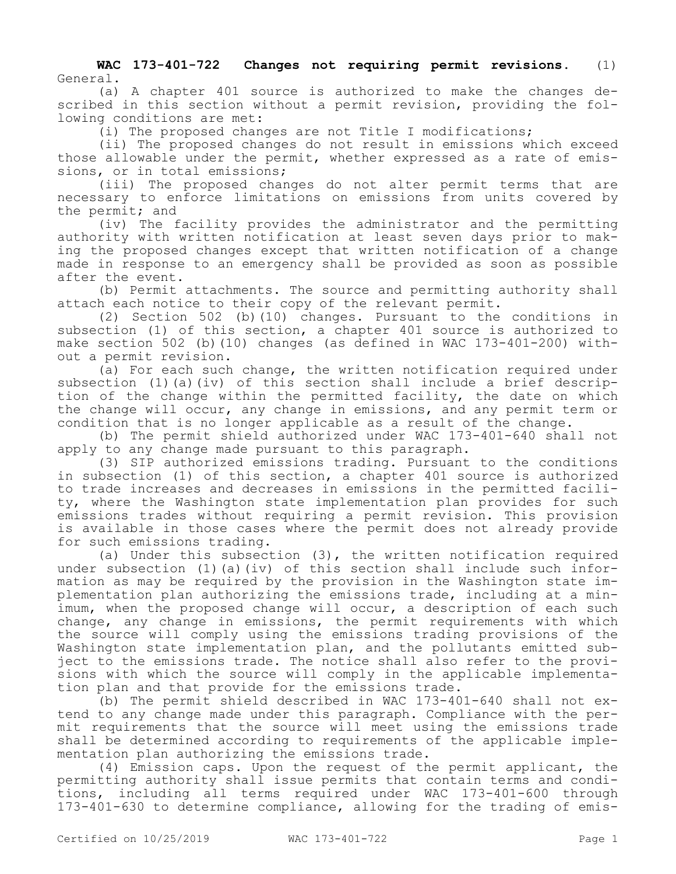**WAC 173-401-722 Changes not requiring permit revisions.** (1) General.

(a) A chapter 401 source is authorized to make the changes described in this section without a permit revision, providing the following conditions are met:

(i) The proposed changes are not Title I modifications;

(ii) The proposed changes do not result in emissions which exceed those allowable under the permit, whether expressed as a rate of emissions, or in total emissions;

(iii) The proposed changes do not alter permit terms that are necessary to enforce limitations on emissions from units covered by the permit; and

(iv) The facility provides the administrator and the permitting authority with written notification at least seven days prior to making the proposed changes except that written notification of a change made in response to an emergency shall be provided as soon as possible after the event.

(b) Permit attachments. The source and permitting authority shall attach each notice to their copy of the relevant permit.

(2) Section 502 (b)(10) changes. Pursuant to the conditions in subsection (1) of this section, a chapter 401 source is authorized to make section 502 (b)(10) changes (as defined in WAC 173-401-200) without a permit revision.

(a) For each such change, the written notification required under subsection (1)(a)(iv) of this section shall include a brief description of the change within the permitted facility, the date on which the change will occur, any change in emissions, and any permit term or condition that is no longer applicable as a result of the change.

(b) The permit shield authorized under WAC 173-401-640 shall not apply to any change made pursuant to this paragraph.

(3) SIP authorized emissions trading. Pursuant to the conditions in subsection (1) of this section, a chapter 401 source is authorized to trade increases and decreases in emissions in the permitted facility, where the Washington state implementation plan provides for such emissions trades without requiring a permit revision. This provision is available in those cases where the permit does not already provide for such emissions trading.

(a) Under this subsection (3), the written notification required under subsection  $(1)$   $(a)$   $(iv)$  of this section shall include such information as may be required by the provision in the Washington state implementation plan authorizing the emissions trade, including at a minimum, when the proposed change will occur, a description of each such change, any change in emissions, the permit requirements with which the source will comply using the emissions trading provisions of the Washington state implementation plan, and the pollutants emitted subject to the emissions trade. The notice shall also refer to the provisions with which the source will comply in the applicable implementation plan and that provide for the emissions trade.

(b) The permit shield described in WAC 173-401-640 shall not extend to any change made under this paragraph. Compliance with the permit requirements that the source will meet using the emissions trade shall be determined according to requirements of the applicable implementation plan authorizing the emissions trade.

(4) Emission caps. Upon the request of the permit applicant, the permitting authority shall issue permits that contain terms and conditions, including all terms required under WAC 173-401-600 through 173-401-630 to determine compliance, allowing for the trading of emis-